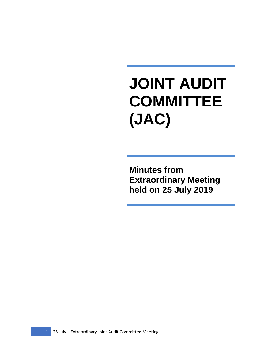## **JOINT AUDIT COMMITTEE (JAC)**

**Minutes from Extraordinary Meeting held on 25 July 2019**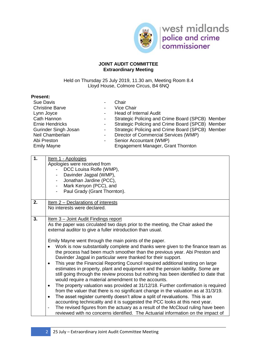

## **JOINT AUDIT COMMITTEE Extraordinary Meeting**

Held on Thursday 25 July 2019, 11.30 am, Meeting Room 8.4 Lloyd House, Colmore Circus, B4 6NQ

## **Present:**

| <b>Sue Davis</b>       | -                        | Chair                                            |
|------------------------|--------------------------|--------------------------------------------------|
| <b>Christine Barve</b> | $\overline{\phantom{a}}$ | Vice Chair                                       |
| Lynn Joyce             | $\overline{\phantom{a}}$ | <b>Head of Internal Audit</b>                    |
| Cath Hannon            | -                        | Strategic Policing and Crime Board (SPCB) Member |
| Ernie Hendricks        | -                        | Strategic Policing and Crime Board (SPCB) Member |
| Gurinder Singh Josan   | -                        | Strategic Policing and Crime Board (SPCB) Member |
| Neil Chamberlain       | -                        | Director of Commercial Services (WMP)            |
| Abi Preston            | -                        | Senior Accountant (WMP)                          |
| <b>Emily Mayne</b>     |                          | Engagement Manager, Grant Thornton               |
|                        |                          |                                                  |

| 1. | Item 1 - Apologies<br>Apologies were received from<br>DCC Louisa Rolfe (WMP),<br>Davinder Jagpal (WMP),<br>Jonathan Jardine (PCC),<br>$\sim$<br>Mark Kenyon (PCC), and                                                                                                                                                                                                                                                                                                                                                                                                                                                                                                                                                                                                                                                                                                                                                                                                                                                                                                                                                                                                                                                                                                                                                                                                                                 |
|----|--------------------------------------------------------------------------------------------------------------------------------------------------------------------------------------------------------------------------------------------------------------------------------------------------------------------------------------------------------------------------------------------------------------------------------------------------------------------------------------------------------------------------------------------------------------------------------------------------------------------------------------------------------------------------------------------------------------------------------------------------------------------------------------------------------------------------------------------------------------------------------------------------------------------------------------------------------------------------------------------------------------------------------------------------------------------------------------------------------------------------------------------------------------------------------------------------------------------------------------------------------------------------------------------------------------------------------------------------------------------------------------------------------|
|    | Paul Grady (Grant Thornton).<br>$\overline{\phantom{0}}$                                                                                                                                                                                                                                                                                                                                                                                                                                                                                                                                                                                                                                                                                                                                                                                                                                                                                                                                                                                                                                                                                                                                                                                                                                                                                                                                               |
| 2. | Item 2 – Declarations of interests<br>No interests were declared.                                                                                                                                                                                                                                                                                                                                                                                                                                                                                                                                                                                                                                                                                                                                                                                                                                                                                                                                                                                                                                                                                                                                                                                                                                                                                                                                      |
| 3. | <u>Item 3 – Joint Audit Findings report</u><br>As the paper was circulated two days prior to the meeting, the Chair asked the<br>external auditor to give a fuller introduction than usual.<br>Emily Mayne went through the main points of the paper.<br>Work is now substantially complete and thanks were given to the finance team as<br>the process had been much smoother than the previous year. Abi Preston and<br>Davinder Jagpal in particular were thanked for their support.<br>This year the Financial Reporting Council required additional testing on large<br>$\bullet$<br>estimates in property, plant and equipment and the pension liability. Some are<br>still going through the review process but nothing has been identified to date that<br>would require a material amendment to the accounts.<br>The property valuation was provided at 31/12/18. Further confirmation is required<br>$\bullet$<br>from the valuer that there is no significant change in the valuation as at 31/3/19.<br>The asset register currently doesn't allow a split of revaluations. This is an<br>$\bullet$<br>accounting technicality and it is suggested the PCC looks at this next year.<br>The revised figures from the actuary as a result of the McCloud ruling have been<br>$\qquad \qquad \blacksquare$<br>reviewed with no concerns identified. The Actuarial information on the impact of |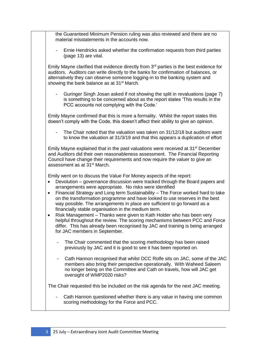| the Guaranteed Minimum Pension ruling was also reviewed and there are no<br>material misstatements in the accounts now.<br>Ernie Hendricks asked whether the confirmation requests from third parties<br>(page 13) are vital.<br>Emily Mayne clarified that evidence directly from 3 <sup>rd</sup> parties is the best evidence for<br>auditors. Auditors can write directly to the banks for confirmation of balances, or<br>alternatively they can observe someone logging-in to the banking system and<br>showing the bank balance as at 31 <sup>st</sup> March.<br>Guringer Singh Josan asked if not showing the split in revaluations (page 7)<br>is something to be concerned about as the report states 'This results in the<br>PCC accounts not complying with the Code.'<br>Emily Mayne confirmed that this is more a formality. Whilst the report states this<br>doesn't comply with the Code, this doesn't affect their ability to give an opinion.<br>The Chair noted that the valuation was taken on 31/12/18 but auditors want<br>$\overline{\phantom{a}}$<br>to know the valuation at 31/3/19 and that this appears a duplication of effort<br>Emily Mayne explained that in the past valuations were received at 31 <sup>st</sup> December<br>and Auditors did their own reasonableness assessment. The Financial Reporting<br>Council have change their requirements and now require the valuer to give an<br>assessment as at 31 <sup>st</sup> March.<br>Emily went on to discuss the Value For Money aspects of the report:<br>Devolution – governance discussion were tracked through the Board papers and<br>$\bullet$<br>arrangements were appropriate. No risks were identified<br>Financial Strategy and Long term Sustainability - The Force worked hard to take<br>٠<br>on the transformation programme and have looked to use reserves in the best<br>way possible. The arrangements in place are sufficient to go forward as a<br>financially stable organisation in the medium term.<br>Risk Management - Thanks were given to Kath Holder who has been very<br>$\bullet$<br>helpful throughout the review. The scoring mechanisms between PCC and Force<br>differ. This has already been recognised by JAC and training is being arranged<br>for JAC members in September.<br>The Chair commented that the scoring methodology has been raised<br>previously by JAC and it is good to see it has been reported on.<br>Cath Hannon recognised that whilst DCC Rolfe sits on JAC, some of the JAC<br>members also bring their perspective operationally. With Waheed Saleem<br>no longer being on the Committee and Cath on travels, how will JAC get<br>oversight of WMP2020 risks?<br>The Chair requested this be included on the risk agenda for the next JAC meeting.<br>Cath Hannon questioned whether there is any value in having one common<br>scoring methodology for the Force and PCC. |  |
|-------------------------------------------------------------------------------------------------------------------------------------------------------------------------------------------------------------------------------------------------------------------------------------------------------------------------------------------------------------------------------------------------------------------------------------------------------------------------------------------------------------------------------------------------------------------------------------------------------------------------------------------------------------------------------------------------------------------------------------------------------------------------------------------------------------------------------------------------------------------------------------------------------------------------------------------------------------------------------------------------------------------------------------------------------------------------------------------------------------------------------------------------------------------------------------------------------------------------------------------------------------------------------------------------------------------------------------------------------------------------------------------------------------------------------------------------------------------------------------------------------------------------------------------------------------------------------------------------------------------------------------------------------------------------------------------------------------------------------------------------------------------------------------------------------------------------------------------------------------------------------------------------------------------------------------------------------------------------------------------------------------------------------------------------------------------------------------------------------------------------------------------------------------------------------------------------------------------------------------------------------------------------------------------------------------------------------------------------------------------------------------------------------------------------------------------------------------------------------------------------------------------------------------------------------------------------------------------------------------------------------------------------------------------------------------------------------------------------------------------------------------------------------------------------------------------------------------------------------------------------------------------------------------------------------|--|
|                                                                                                                                                                                                                                                                                                                                                                                                                                                                                                                                                                                                                                                                                                                                                                                                                                                                                                                                                                                                                                                                                                                                                                                                                                                                                                                                                                                                                                                                                                                                                                                                                                                                                                                                                                                                                                                                                                                                                                                                                                                                                                                                                                                                                                                                                                                                                                                                                                                                                                                                                                                                                                                                                                                                                                                                                                                                                                                               |  |
|                                                                                                                                                                                                                                                                                                                                                                                                                                                                                                                                                                                                                                                                                                                                                                                                                                                                                                                                                                                                                                                                                                                                                                                                                                                                                                                                                                                                                                                                                                                                                                                                                                                                                                                                                                                                                                                                                                                                                                                                                                                                                                                                                                                                                                                                                                                                                                                                                                                                                                                                                                                                                                                                                                                                                                                                                                                                                                                               |  |
|                                                                                                                                                                                                                                                                                                                                                                                                                                                                                                                                                                                                                                                                                                                                                                                                                                                                                                                                                                                                                                                                                                                                                                                                                                                                                                                                                                                                                                                                                                                                                                                                                                                                                                                                                                                                                                                                                                                                                                                                                                                                                                                                                                                                                                                                                                                                                                                                                                                                                                                                                                                                                                                                                                                                                                                                                                                                                                                               |  |
|                                                                                                                                                                                                                                                                                                                                                                                                                                                                                                                                                                                                                                                                                                                                                                                                                                                                                                                                                                                                                                                                                                                                                                                                                                                                                                                                                                                                                                                                                                                                                                                                                                                                                                                                                                                                                                                                                                                                                                                                                                                                                                                                                                                                                                                                                                                                                                                                                                                                                                                                                                                                                                                                                                                                                                                                                                                                                                                               |  |
|                                                                                                                                                                                                                                                                                                                                                                                                                                                                                                                                                                                                                                                                                                                                                                                                                                                                                                                                                                                                                                                                                                                                                                                                                                                                                                                                                                                                                                                                                                                                                                                                                                                                                                                                                                                                                                                                                                                                                                                                                                                                                                                                                                                                                                                                                                                                                                                                                                                                                                                                                                                                                                                                                                                                                                                                                                                                                                                               |  |
|                                                                                                                                                                                                                                                                                                                                                                                                                                                                                                                                                                                                                                                                                                                                                                                                                                                                                                                                                                                                                                                                                                                                                                                                                                                                                                                                                                                                                                                                                                                                                                                                                                                                                                                                                                                                                                                                                                                                                                                                                                                                                                                                                                                                                                                                                                                                                                                                                                                                                                                                                                                                                                                                                                                                                                                                                                                                                                                               |  |
|                                                                                                                                                                                                                                                                                                                                                                                                                                                                                                                                                                                                                                                                                                                                                                                                                                                                                                                                                                                                                                                                                                                                                                                                                                                                                                                                                                                                                                                                                                                                                                                                                                                                                                                                                                                                                                                                                                                                                                                                                                                                                                                                                                                                                                                                                                                                                                                                                                                                                                                                                                                                                                                                                                                                                                                                                                                                                                                               |  |
|                                                                                                                                                                                                                                                                                                                                                                                                                                                                                                                                                                                                                                                                                                                                                                                                                                                                                                                                                                                                                                                                                                                                                                                                                                                                                                                                                                                                                                                                                                                                                                                                                                                                                                                                                                                                                                                                                                                                                                                                                                                                                                                                                                                                                                                                                                                                                                                                                                                                                                                                                                                                                                                                                                                                                                                                                                                                                                                               |  |
|                                                                                                                                                                                                                                                                                                                                                                                                                                                                                                                                                                                                                                                                                                                                                                                                                                                                                                                                                                                                                                                                                                                                                                                                                                                                                                                                                                                                                                                                                                                                                                                                                                                                                                                                                                                                                                                                                                                                                                                                                                                                                                                                                                                                                                                                                                                                                                                                                                                                                                                                                                                                                                                                                                                                                                                                                                                                                                                               |  |
|                                                                                                                                                                                                                                                                                                                                                                                                                                                                                                                                                                                                                                                                                                                                                                                                                                                                                                                                                                                                                                                                                                                                                                                                                                                                                                                                                                                                                                                                                                                                                                                                                                                                                                                                                                                                                                                                                                                                                                                                                                                                                                                                                                                                                                                                                                                                                                                                                                                                                                                                                                                                                                                                                                                                                                                                                                                                                                                               |  |
|                                                                                                                                                                                                                                                                                                                                                                                                                                                                                                                                                                                                                                                                                                                                                                                                                                                                                                                                                                                                                                                                                                                                                                                                                                                                                                                                                                                                                                                                                                                                                                                                                                                                                                                                                                                                                                                                                                                                                                                                                                                                                                                                                                                                                                                                                                                                                                                                                                                                                                                                                                                                                                                                                                                                                                                                                                                                                                                               |  |
|                                                                                                                                                                                                                                                                                                                                                                                                                                                                                                                                                                                                                                                                                                                                                                                                                                                                                                                                                                                                                                                                                                                                                                                                                                                                                                                                                                                                                                                                                                                                                                                                                                                                                                                                                                                                                                                                                                                                                                                                                                                                                                                                                                                                                                                                                                                                                                                                                                                                                                                                                                                                                                                                                                                                                                                                                                                                                                                               |  |